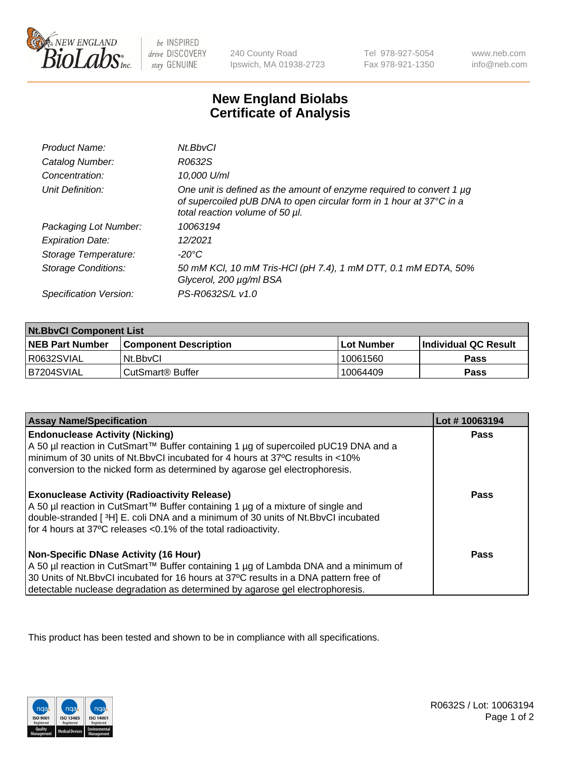

 $be$  INSPIRED drive DISCOVERY stay GENUINE

240 County Road Ipswich, MA 01938-2723 Tel 978-927-5054 Fax 978-921-1350 www.neb.com info@neb.com

## **New England Biolabs Certificate of Analysis**

| Product Name:              | Nt.BbvCl                                                                                                                                                                       |
|----------------------------|--------------------------------------------------------------------------------------------------------------------------------------------------------------------------------|
| Catalog Number:            | R0632S                                                                                                                                                                         |
| Concentration:             | 10,000 U/ml                                                                                                                                                                    |
| Unit Definition:           | One unit is defined as the amount of enzyme required to convert 1 µg<br>of supercoiled pUB DNA to open circular form in 1 hour at 37°C in a<br>total reaction volume of 50 µl. |
| Packaging Lot Number:      | 10063194                                                                                                                                                                       |
| <b>Expiration Date:</b>    | 12/2021                                                                                                                                                                        |
| Storage Temperature:       | -20°C                                                                                                                                                                          |
| <b>Storage Conditions:</b> | 50 mM KCl, 10 mM Tris-HCl (pH 7.4), 1 mM DTT, 0.1 mM EDTA, 50%<br>Glycerol, 200 µg/ml BSA                                                                                      |
| Specification Version:     | PS-R0632S/L v1.0                                                                                                                                                               |

| <b>Nt.BbvCl Component List</b> |                         |              |                             |  |
|--------------------------------|-------------------------|--------------|-----------------------------|--|
| <b>NEB Part Number</b>         | l Component Description | l Lot Number | <b>Individual QC Result</b> |  |
| I R0632SVIAL                   | Nt.BbvCl                | 10061560     | <b>Pass</b>                 |  |
| IB7204SVIAL                    | l CutSmart® Buffer      | 10064409     | <b>Pass</b>                 |  |

| <b>Assay Name/Specification</b>                                                                                                                                                                                                                                                                              | Lot #10063194 |
|--------------------------------------------------------------------------------------------------------------------------------------------------------------------------------------------------------------------------------------------------------------------------------------------------------------|---------------|
| <b>Endonuclease Activity (Nicking)</b><br>A 50 µl reaction in CutSmart™ Buffer containing 1 µg of supercoiled pUC19 DNA and a<br>minimum of 30 units of Nt.BbyCI incubated for 4 hours at 37 <sup>o</sup> C results in <10%<br>conversion to the nicked form as determined by agarose gel electrophoresis.   | <b>Pass</b>   |
| <b>Exonuclease Activity (Radioactivity Release)</b><br>A 50 µl reaction in CutSmart™ Buffer containing 1 µg of a mixture of single and<br>double-stranded [3H] E. coli DNA and a minimum of 30 units of Nt. BbvCl incubated<br>for 4 hours at 37°C releases <0.1% of the total radioactivity.                | Pass          |
| <b>Non-Specific DNase Activity (16 Hour)</b><br>A 50 µl reaction in CutSmart™ Buffer containing 1 µg of Lambda DNA and a minimum of<br>30 Units of Nt.BbvCl incubated for 16 hours at 37°C results in a DNA pattern free of<br>detectable nuclease degradation as determined by agarose gel electrophoresis. | Pass          |

This product has been tested and shown to be in compliance with all specifications.